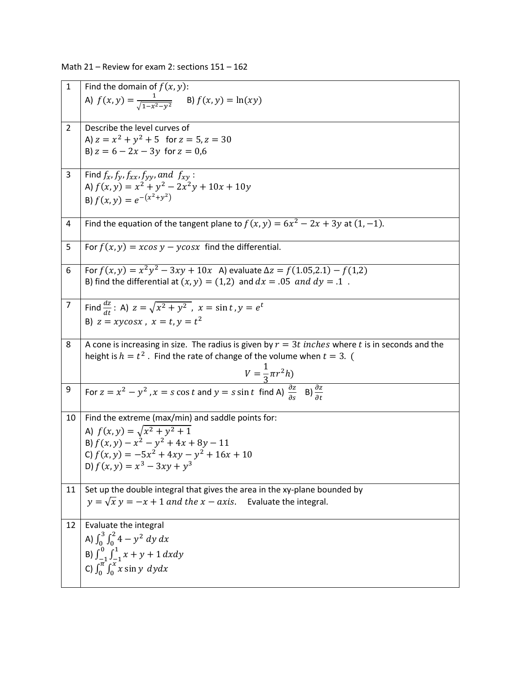Math 21 – Review for exam 2: sections 151 – 162

| $\mathbf{1}$   | Find the domain of $f(x, y)$ :                                                                                                     |
|----------------|------------------------------------------------------------------------------------------------------------------------------------|
|                | A) $f(x,y) = \frac{1}{\sqrt{1-x^2-y^2}}$ B) $f(x,y) = \ln(xy)$                                                                     |
| $\overline{2}$ | Describe the level curves of                                                                                                       |
|                | A) $z = x^2 + y^2 + 5$ for $z = 5$ , $z = 30$                                                                                      |
|                | B) $z = 6 - 2x - 3y$ for $z = 0.6$                                                                                                 |
| 3              | Find $f_x$ , $f_y$ , $f_{xx}$ , $f_{yy}$ , and $f_{xy}$ :                                                                          |
|                | A) $f(x, y) = x^2 + y^2 - 2x^2y + 10x + 10y$                                                                                       |
|                | B) $f(x, y) = e^{-(x^2 + y^2)}$                                                                                                    |
| 4              | Find the equation of the tangent plane to $f(x, y) = 6x^2 - 2x + 3y$ at $(1, -1)$ .                                                |
| 5              | For $f(x, y) = x \cos y - y \cos x$ find the differential.                                                                         |
| 6              | For $f(x, y) = x^2y^2 - 3xy + 10x$ A) evaluate $\Delta z = f(1.05, 2.1) - f(1.2)$                                                  |
|                | B) find the differential at $(x, y) = (1,2)$ and $dx = .05$ and $dy = .1$ .                                                        |
| 7              | Find $\frac{dz}{dt}$ : A) $z = \sqrt{x^2 + y^2}$ , $x = \sin t$ , $y = e^t$                                                        |
|                | B) $z = x\gamma cos x$ , $x = t, \gamma = t^2$                                                                                     |
|                |                                                                                                                                    |
| 8              | A cone is increasing in size. The radius is given by $r = 3t$ inches where t is in seconds and the                                 |
|                | height is $h = t^2$ . Find the rate of change of the volume when $t = 3$ . (                                                       |
|                | $V = \frac{1}{3}\pi r^2 h$                                                                                                         |
| 9              |                                                                                                                                    |
|                | For $z = x^2 - y^2$ , $x = s \cos t$ and $y = s \sin t$ find A) $\frac{\partial z}{\partial s}$ B) $\frac{\partial z}{\partial t}$ |
| 10             | Find the extreme (max/min) and saddle points for:                                                                                  |
|                | A) $f(x, y) = \sqrt{x^2 + y^2 + 1}$                                                                                                |
|                | B) $f(x, y) - x^2 - y^2 + 4x + 8y - 11$                                                                                            |
|                | C) $f(x, y) = -5x^2 + 4xy - y^2 + 16x + 10$                                                                                        |
|                | D) $f(x, y) = x^3 - 3xy + y^3$                                                                                                     |
| 11             | Set up the double integral that gives the area in the xy-plane bounded by                                                          |
|                | $y = \sqrt{x}$ $y = -x + 1$ and the $x - axis$ . Evaluate the integral.                                                            |
| 12             | Evaluate the integral                                                                                                              |
|                | A) $\int_0^3 \int_0^2 4 - y^2 \, dy \, dx$                                                                                         |
|                |                                                                                                                                    |
|                | B) $\int_{-1}^{0} \int_{-1}^{1} x + y + 1 dx dy$<br>C) $\int_0^{\pi} \int_0^x x \sin y \, dy dx$                                   |